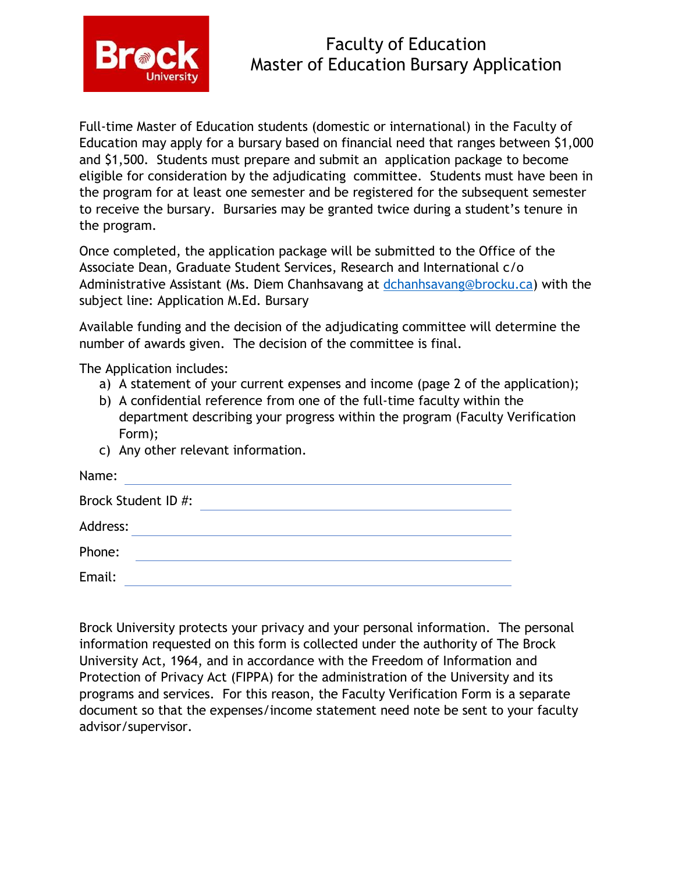

## Faculty of Education Master of Education Bursary Application

Full-time Master of Education students (domestic or international) in the Faculty of Education may apply for a bursary based on financial need that ranges between \$1,000 and \$1,500. Students must prepare and submit an application package to become eligible for consideration by the adjudicating committee. Students must have been in the program for at least one semester and be registered for the subsequent semester to receive the bursary. Bursaries may be granted twice during a student's tenure in the program.

Once completed, the application package will be submitted to the Office of the Associate Dean, Graduate Student Services, Research and International c/o Administrative Assistant (Ms. Diem Chanhsavang at [dchanhsavang@brocku.ca\)](mailto:dchanhsavang@brocku.ca) with the subject line: Application M.Ed. Bursary

Available funding and the decision of the adjudicating committee will determine the number of awards given. The decision of the committee is final.

The Application includes:

- a) A statement of your current expenses and income (page 2 of the application);
- b) A confidential reference from one of the full-time faculty within the department describing your progress within the program (Faculty Verification Form);
- c) Any other relevant information.

| Name:               |  |  |
|---------------------|--|--|
| Brock Student ID #: |  |  |
| Address:            |  |  |
| Phone:              |  |  |
| Email:              |  |  |
|                     |  |  |

Brock University protects your privacy and your personal information. The personal information requested on this form is collected under the authority of The Brock University Act, 1964, and in accordance with the Freedom of Information and Protection of Privacy Act (FIPPA) for the administration of the University and its programs and services. For this reason, the Faculty Verification Form is a separate document so that the expenses/income statement need note be sent to your faculty advisor/supervisor.